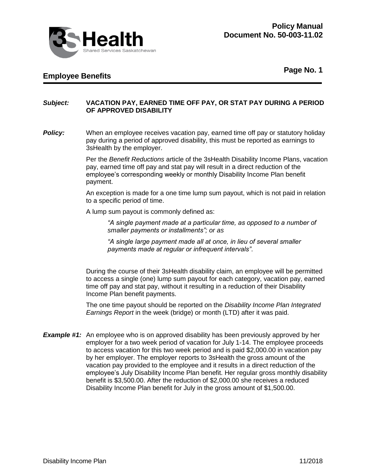

## **Employee Benefits**

**Page No. 1**

## *Subject:* **VACATION PAY, EARNED TIME OFF PAY, OR STAT PAY DURING A PERIOD OF APPROVED DISABILITY**

**Policy:** When an employee receives vacation pay, earned time off pay or statutory holiday pay during a period of approved disability, this must be reported as earnings to 3sHealth by the employer.

> Per the *Benefit Reductions* article of the 3sHealth Disability Income Plans, vacation pay, earned time off pay and stat pay will result in a direct reduction of the employee's corresponding weekly or monthly Disability Income Plan benefit payment.

> An exception is made for a one time lump sum payout, which is not paid in relation to a specific period of time.

A lump sum payout is commonly defined as:

*"A single payment made at a particular time, as opposed to a number of smaller payments or installments"; or as*

*"A single large payment made all at once, in lieu of several smaller payments made at regular or infrequent intervals"*.

During the course of their 3sHealth disability claim, an employee will be permitted to access a single (one) lump sum payout for each category, vacation pay, earned time off pay and stat pay, without it resulting in a reduction of their Disability Income Plan benefit payments.

The one time payout should be reported on the *Disability Income Plan Integrated Earnings Report* in the week (bridge) or month (LTD) after it was paid.

**Example #1:** An employee who is on approved disability has been previously approved by her employer for a two week period of vacation for July 1-14. The employee proceeds to access vacation for this two week period and is paid \$2,000.00 in vacation pay by her employer. The employer reports to 3sHealth the gross amount of the vacation pay provided to the employee and it results in a direct reduction of the employee's July Disability Income Plan benefit. Her regular gross monthly disability benefit is \$3,500.00. After the reduction of \$2,000.00 she receives a reduced Disability Income Plan benefit for July in the gross amount of \$1,500.00.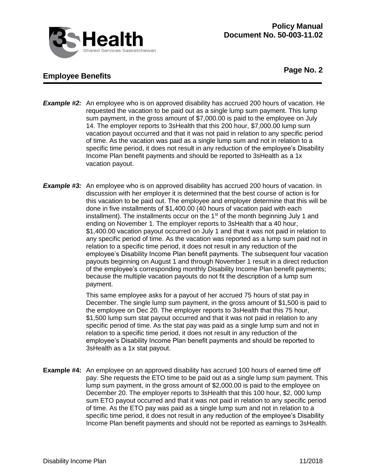

## **Employee Benefits**

**Page No. 2**

- **Example #2:** An employee who is on approved disability has accrued 200 hours of vacation. He requested the vacation to be paid out as a single lump sum payment. This lump sum payment, in the gross amount of \$7,000.00 is paid to the employee on July 14. The employer reports to 3sHealth that this 200 hour, \$7,000.00 lump sum vacation payout occurred and that it was not paid in relation to any specific period of time. As the vacation was paid as a single lump sum and not in relation to a specific time period, it does not result in any reduction of the employee's Disability Income Plan benefit payments and should be reported to 3sHealth as a 1x vacation payout.
- **Example #3:** An employee who is on approved disability has accrued 200 hours of vacation. In discussion with her employer it is determined that the best course of action is for this vacation to be paid out. The employee and employer determine that this will be done in five installments of \$1,400.00 (40 hours of vacation paid with each installment). The installments occur on the  $1<sup>st</sup>$  of the month beginning July 1 and ending on November 1. The employer reports to 3sHealth that a 40 hour, \$1,400.00 vacation payout occurred on July 1 and that it was not paid in relation to any specific period of time. As the vacation was reported as a lump sum paid not in relation to a specific time period, it does not result in any reduction of the employee's Disability Income Plan benefit payments. The subsequent four vacation payouts beginning on August 1 and through November 1 result in a direct reduction of the employee's corresponding monthly Disability Income Plan benefit payments; because the multiple vacation payouts do not fit the description of a lump sum payment.

This same employee asks for a payout of her accrued 75 hours of stat pay in December. The single lump sum payment, in the gross amount of \$1,500 is paid to the employee on Dec 20. The employer reports to 3sHealth that this 75 hour, \$1,500 lump sum stat payout occurred and that it was not paid in relation to any specific period of time. As the stat pay was paid as a single lump sum and not in relation to a specific time period, it does not result in any reduction of the employee's Disability Income Plan benefit payments and should be reported to 3sHealth as a 1x stat payout.

**Example #4:** An employee on an approved disability has accrued 100 hours of earned time off pay. She requests the ETO time to be paid out as a single lump sum payment. This lump sum payment, in the gross amount of \$2,000.00 is paid to the employee on December 20. The employer reports to 3sHealth that this 100 hour, \$2, 000 lump sum ETO payout occurred and that it was not paid in relation to any specific period of time. As the ETO pay was paid as a single lump sum and not in relation to a specific time period, it does not result in any reduction of the employee's Disability Income Plan benefit payments and should not be reported as earnings to 3sHealth.